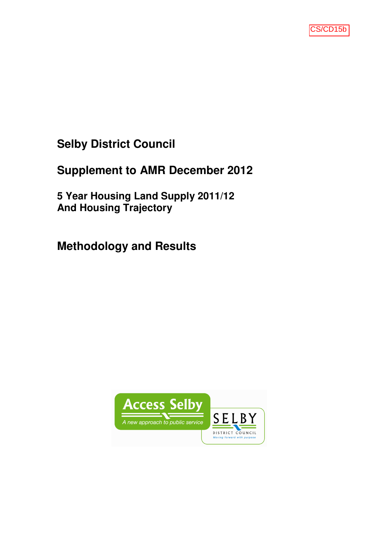

# **Selby District Council**

# **Supplement to AMR December 2012**

**5 Year Housing Land Supply 2011/12 And Housing Trajectory**

# **Methodology and Results**

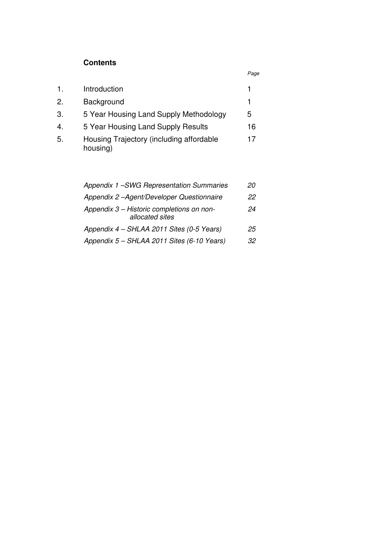# **Contents**

|                  |                                                      | Page |
|------------------|------------------------------------------------------|------|
| 1.               | Introduction                                         |      |
| 2.               | Background                                           | 1    |
| 3.               | 5 Year Housing Land Supply Methodology               | 5    |
| $\overline{4}$ . | 5 Year Housing Land Supply Results                   | 16   |
| 5.               | Housing Trajectory (including affordable<br>housing) | 17   |

| Appendix 1 - SWG Representation Summaries                    | 20 |
|--------------------------------------------------------------|----|
| Appendix 2-Agent/Developer Questionnaire                     | 22 |
| Appendix 3 - Historic completions on non-<br>allocated sites | 24 |
| Appendix 4 - SHLAA 2011 Sites (0-5 Years)                    | 25 |
| Appendix 5 - SHLAA 2011 Sites (6-10 Years)                   | 32 |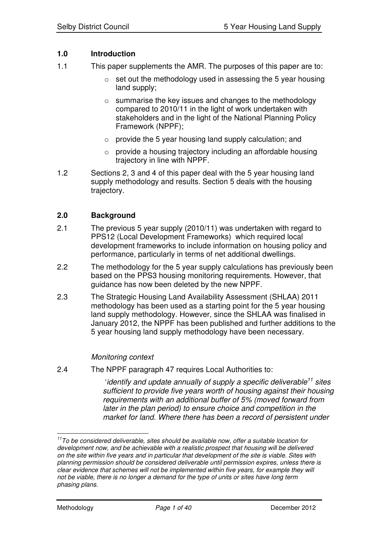# **1.0 Introduction**

- 1.1 This paper supplements the AMR. The purposes of this paper are to:
	- $\circ$  set out the methodology used in assessing the 5 year housing land supply;
	- o summarise the key issues and changes to the methodology compared to 2010/11 in the light of work undertaken with stakeholders and in the light of the National Planning Policy Framework (NPPF);
	- o provide the 5 year housing land supply calculation; and
	- $\circ$  provide a housing trajectory including an affordable housing trajectory in line with NPPF.
- 1.2 Sections 2, 3 and 4 of this paper deal with the 5 year housing land supply methodology and results. Section 5 deals with the housing trajectory.

## **2.0 Background**

- 2.1 The previous 5 year supply (2010/11) was undertaken with regard to PPS12 (Local Development Frameworks) which required local development frameworks to include information on housing policy and performance, particularly in terms of net additional dwellings.
- 2.2 The methodology for the 5 year supply calculations has previously been based on the PPS3 housing monitoring requirements. However, that guidance has now been deleted by the new NPPF.
- 2.3 The Strategic Housing Land Availability Assessment (SHLAA) 2011 methodology has been used as a starting point for the 5 year housing land supply methodology. However, since the SHLAA was finalised in January 2012, the NPPF has been published and further additions to the 5 year housing land supply methodology have been necessary.

#### *Monitoring context*

2.4 The NPPF paragraph 47 requires Local Authorities to:

'*identify and update annually of supply a specific deliverable 11 sites sufficient to provide five years worth of housing against their housing requirements with an additional buffer of 5% (moved forward from later in the plan period) to ensure choice and competition in the market for land. Where there has been a record of persistent under*

*<sup>11</sup> To be considered deliverable, sites should be available now, offer a suitable location for development now, and be achievable with a realistic prospect that housing will be delivered on the site within five years and in particular that development of the site is viable. Sites with planning permission should be considered deliverable until permission expires, unless there is clear evidence that schemes will not be implemented within five years, for example they will not be viable, there is no longer a demand for the type of units or sites have long term phasing plans.*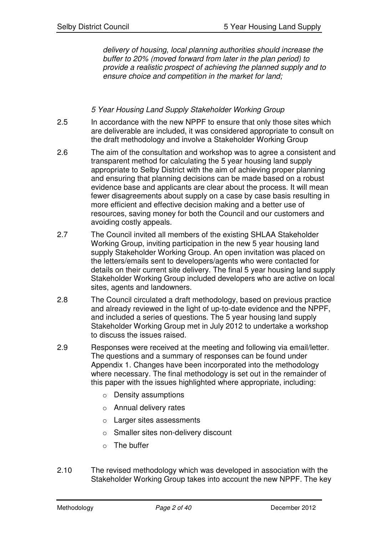*delivery of housing, local planning authorities should increase the buffer to 20% (moved forward from later in the plan period) to provide a realistic prospect of achieving the planned supply and to ensure choice and competition in the market for land;*

## *5 Year Housing Land Supply Stakeholder Working Group*

- 2.5 In accordance with the new NPPF to ensure that only those sites which are deliverable are included, it was considered appropriate to consult on the draft methodology and involve a Stakeholder Working Group
- 2.6 The aim of the consultation and workshop was to agree a consistent and transparent method for calculating the 5 year housing land supply appropriate to Selby District with the aim of achieving proper planning and ensuring that planning decisions can be made based on a robust evidence base and applicants are clear about the process. It will mean fewer disagreements about supply on a case by case basis resulting in more efficient and effective decision making and a better use of resources, saving money for both the Council and our customers and avoiding costly appeals.
- 2.7 The Council invited all members of the existing SHLAA Stakeholder Working Group, inviting participation in the new 5 year housing land supply Stakeholder Working Group. An open invitation was placed on the letters/emails sent to developers/agents who were contacted for details on their current site delivery. The final 5 year housing land supply Stakeholder Working Group included developers who are active on local sites, agents and landowners.
- 2.8 The Council circulated a draft methodology, based on previous practice and already reviewed in the light of up-to-date evidence and the NPPF, and included a series of questions. The 5 year housing land supply Stakeholder Working Group met in July 2012 to undertake a workshop to discuss the issues raised.
- 2.9 Responses were received at the meeting and following via email/letter. The questions and a summary of responses can be found under Appendix 1. Changes have been incorporated into the methodology where necessary. The final methodology is set out in the remainder of this paper with the issues highlighted where appropriate, including:
	- o Density assumptions
	- o Annual delivery rates
	- o Larger sites assessments
	- o Smaller sites non-delivery discount
	- $\circ$  The buffer
- 2.10 The revised methodology which was developed in association with the Stakeholder Working Group takes into account the new NPPF. The key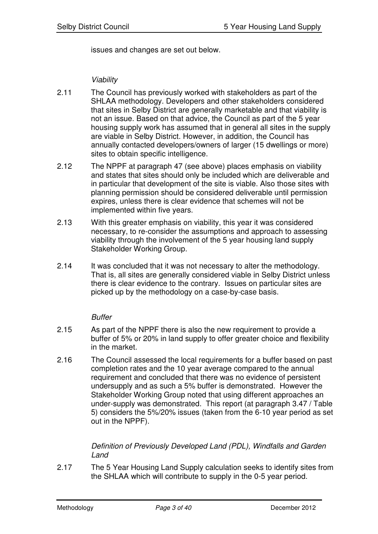issues and changes are set out below.

*Viability*

- 2.11 The Council has previously worked with stakeholders as part of the SHLAA methodology. Developers and other stakeholders considered that sites in Selby District are generally marketable and that viability is not an issue. Based on that advice, the Council as part of the 5 year housing supply work has assumed that in general all sites in the supply are viable in Selby District. However, in addition, the Council has annually contacted developers/owners of larger (15 dwellings or more) sites to obtain specific intelligence.
- 2.12 The NPPF at paragraph 47 (see above) places emphasis on viability and states that sites should only be included which are deliverable and in particular that development of the site is viable. Also those sites with planning permission should be considered deliverable until permission expires, unless there is clear evidence that schemes will not be implemented within five years.
- 2.13 With this greater emphasis on viability, this year it was considered necessary, to re-consider the assumptions and approach to assessing viability through the involvement of the 5 year housing land supply Stakeholder Working Group.
- 2.14 It was concluded that it was not necessary to alter the methodology. That is, all sites are generally considered viable in Selby District unless there is clear evidence to the contrary. Issues on particular sites are picked up by the methodology on a case-by-case basis.

#### *Buffer*

- 2.15 As part of the NPPF there is also the new requirement to provide a buffer of 5% or 20% in land supply to offer greater choice and flexibility in the market.
- 2.16 The Council assessed the local requirements for a buffer based on past completion rates and the 10 year average compared to the annual requirement and concluded that there was no evidence of persistent undersupply and as such a 5% buffer is demonstrated. However the Stakeholder Working Group noted that using different approaches an under-supply was demonstrated. This report (at paragraph 3.47 / Table 5) considers the 5%/20% issues (taken from the 6-10 year period as set out in the NPPF).

## *Definition of Previously Developed Land (PDL), Windfalls and Garden Land*

2.17 The 5 Year Housing Land Supply calculation seeks to identify sites from the SHLAA which will contribute to supply in the 0-5 year period.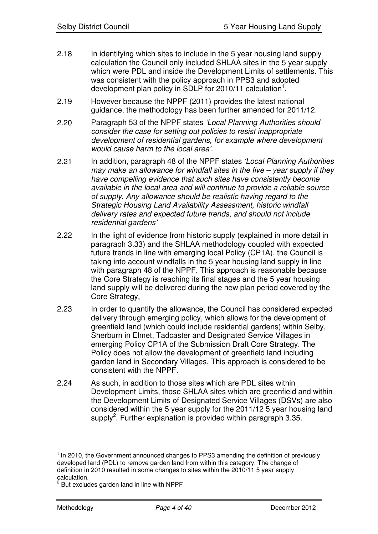- 2.18 In identifying which sites to include in the 5 year housing land supply calculation the Council only included SHLAA sites in the 5 year supply which were PDL and inside the Development Limits of settlements. This was consistent with the policy approach in PPS3 and adopted development plan policy in SDLP for 2010/11 calculation<sup>1</sup>.
- 2.19 However because the NPPF (2011) provides the latest national guidance, the methodology has been further amended for 2011/12.
- 2.20 Paragraph 53 of the NPPF states *'Local Planning Authorities should consider the case for setting out policies to resist inappropriate development of residential gardens, for example where development would cause harm to the local area'.*
- 2.21 In addition, paragraph 48 of the NPPF states *'Local Planning Authorities may make an allowance for windfall sites in the five – year supply if they have compelling evidence that such sites have consistently become available in the local area and will continue to provide a reliable source of supply. Any allowance should be realistic having regard to the Strategic Housing Land Availability Assessment, historic windfall delivery rates and expected future trends, and should not include residential gardens'*
- 2.22 In the light of evidence from historic supply (explained in more detail in paragraph 3.33) and the SHLAA methodology coupled with expected future trends in line with emerging local Policy (CP1A), the Council is taking into account windfalls in the 5 year housing land supply in line with paragraph 48 of the NPPF. This approach is reasonable because the Core Strategy is reaching its final stages and the 5 year housing land supply will be delivered during the new plan period covered by the Core Strategy,
- 2.23 In order to quantify the allowance, the Council has considered expected delivery through emerging policy, which allows for the development of greenfield land (which could include residential gardens) within Selby, Sherburn in Elmet, Tadcaster and Designated Service Villages in emerging Policy CP1A of the Submission Draft Core Strategy. The Policy does not allow the development of greenfield land including garden land in Secondary Villages. This approach is considered to be consistent with the NPPF.
- 2.24 As such, in addition to those sites which are PDL sites within Development Limits, those SHLAA sites which are greenfield and within the Development Limits of Designated Service Villages (DSVs) are also considered within the 5 year supply for the 2011/12 5 year housing land supply<sup>2</sup>. Further explanation is provided within paragraph 3.35.

 $1$  In 2010, the Government announced changes to PPS3 amending the definition of previously developed land (PDL) to remove garden land from within this category. The change of definition in 2010 resulted in some changes to sites within the 2010/11 5 year supply calculation.<br><sup>2</sup> But excludes garden land in line with NPPF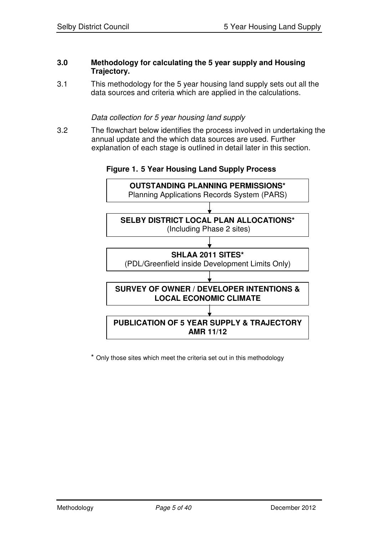#### **3.0 Methodology for calculating the 5 year supply and Housing Trajectory.**

3.1 This methodology for the 5 year housing land supply sets out all the data sources and criteria which are applied in the calculations.

## *Data collection for 5 year housing land supply*

3.2 The flowchart below identifies the process involved in undertaking the annual update and the which data sources are used. Further explanation of each stage is outlined in detail later in this section.





\* Only those sites which meet the criteria set out in this methodology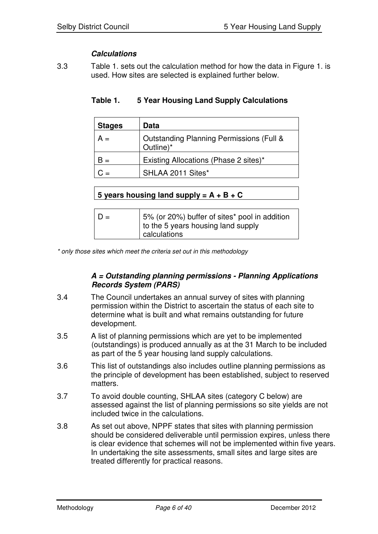# *Calculations*

3.3 Table 1. sets out the calculation method for how the data in Figure 1. is used. How sites are selected is explained further below.

| <b>Stages</b> | Data                                                             |
|---------------|------------------------------------------------------------------|
| $A =$         | <b>Outstanding Planning Permissions (Full &amp;</b><br>Outline)* |
| н =           | Existing Allocations (Phase 2 sites)*                            |
|               | SHLAA 2011 Sites*                                                |

# **Table 1. 5 Year Housing Land Supply Calculations**

|  | 5 years housing land supply = $A + B + C$ |  |  |  |
|--|-------------------------------------------|--|--|--|
|  |                                           |  |  |  |

| $\vert D =$ | 5% (or 20%) buffer of sites* pool in addition<br>to the 5 years housing land supply<br>calculations |
|-------------|-----------------------------------------------------------------------------------------------------|
|-------------|-----------------------------------------------------------------------------------------------------|

*\* only those sites which meet the criteria set out in this methodology*

#### *A = Outstanding planning permissions - Planning Applications Records System (PARS)*

- 3.4 The Council undertakes an annual survey of sites with planning permission within the District to ascertain the status of each site to determine what is built and what remains outstanding for future development.
- 3.5 A list of planning permissions which are yet to be implemented (outstandings) is produced annually as at the 31 March to be included as part of the 5 year housing land supply calculations.
- 3.6 This list of outstandings also includes outline planning permissions as the principle of development has been established, subject to reserved matters.
- 3.7 To avoid double counting, SHLAA sites (category C below) are assessed against the list of planning permissions so site yields are not included twice in the calculations.
- 3.8 As set out above, NPPF states that sites with planning permission should be considered deliverable until permission expires, unless there is clear evidence that schemes will not be implemented within five years. In undertaking the site assessments, small sites and large sites are treated differently for practical reasons.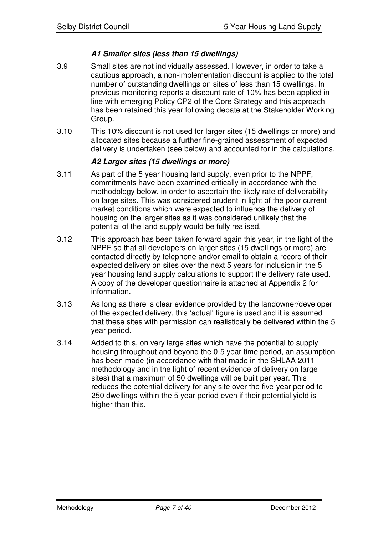# *A1 Smaller sites (less than 15 dwellings)*

- 3.9 Small sites are not individually assessed. However, in order to take a cautious approach, a non-implementation discount is applied to the total number of outstanding dwellings on sites of less than 15 dwellings. In previous monitoring reports a discount rate of 10% has been applied in line with emerging Policy CP2 of the Core Strategy and this approach has been retained this year following debate at the Stakeholder Working Group.
- 3.10 This 10% discount is not used for larger sites (15 dwellings or more) and allocated sites because a further fine-grained assessment of expected delivery is undertaken (see below) and accounted for in the calculations.

# *A2 Larger sites (15 dwellings or more)*

- 3.11 As part of the 5 year housing land supply, even prior to the NPPF, commitments have been examined critically in accordance with the methodology below, in order to ascertain the likely rate of deliverability on large sites. This was considered prudent in light of the poor current market conditions which were expected to influence the delivery of housing on the larger sites as it was considered unlikely that the potential of the land supply would be fully realised.
- 3.12 This approach has been taken forward again this year, in the light of the NPPF so that all developers on larger sites (15 dwellings or more) are contacted directly by telephone and/or email to obtain a record of their expected delivery on sites over the next 5 years for inclusion in the 5 year housing land supply calculations to support the delivery rate used. A copy of the developer questionnaire is attached at Appendix 2 for information.
- 3.13 As long as there is clear evidence provided by the landowner/developer of the expected delivery, this 'actual' figure is used and it is assumed that these sites with permission can realistically be delivered within the 5 year period.
- 3.14 Added to this, on very large sites which have the potential to supply housing throughout and beyond the 0-5 year time period, an assumption has been made (in accordance with that made in the SHLAA 2011 methodology and in the light of recent evidence of delivery on large sites) that a maximum of 50 dwellings will be built per year. This reduces the potential delivery for any site over the five-year period to 250 dwellings within the 5 year period even if their potential yield is higher than this.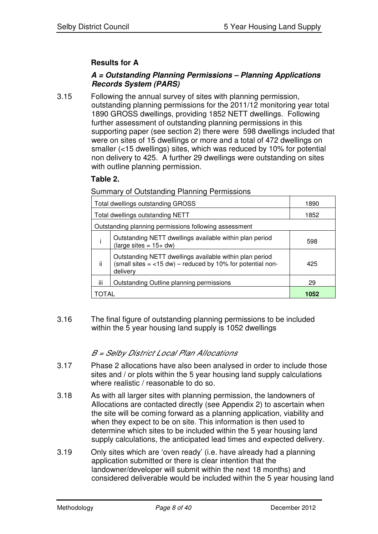# **Results for A**

# *A = Outstanding Planning Permissions – Planning Applications Records System (PARS)*

3.15 Following the annual survey of sites with planning permission, outstanding planning permissions for the 2011/12 monitoring year total 1890 GROSS dwellings, providing 1852 NETT dwellings. Following further assessment of outstanding planning permissions in this supporting paper (see section 2) there were 598 dwellings included that were on sites of 15 dwellings or more and a total of 472 dwellings on smaller (<15 dwellings) sites, which was reduced by 10% for potential non delivery to 425. A further 29 dwellings were outstanding on sites with outline planning permission.

## **Table 2.**

Summary of Outstanding Planning Permissions

| Total dwellings outstanding GROSS                     | 1890                                                                                                                                |     |  |  |
|-------------------------------------------------------|-------------------------------------------------------------------------------------------------------------------------------------|-----|--|--|
| Total dwellings outstanding NETT                      | 1852                                                                                                                                |     |  |  |
| Outstanding planning permissions following assessment |                                                                                                                                     |     |  |  |
|                                                       | Outstanding NETT dwellings available within plan period<br>(large sites = $15+$ dw)                                                 | 598 |  |  |
| ji                                                    | Outstanding NETT dwellings available within plan period<br>(small sites $=$ <15 dw) – reduced by 10% for potential non-<br>delivery |     |  |  |
| iii                                                   | Outstanding Outline planning permissions                                                                                            | 29  |  |  |
| TAL                                                   | 1052                                                                                                                                |     |  |  |

3.16 The final figure of outstanding planning permissions to be included within the 5 year housing land supply is 1052 dwellings

# *B <sup>=</sup> Selby District Local Plan Allocations*

- 3.17 Phase 2 allocations have also been analysed in order to include those sites and / or plots within the 5 year housing land supply calculations where realistic / reasonable to do so.
- 3.18 As with all larger sites with planning permission, the landowners of Allocations are contacted directly (see Appendix 2) to ascertain when the site will be coming forward as a planning application, viability and when they expect to be on site. This information is then used to determine which sites to be included within the 5 year housing land supply calculations, the anticipated lead times and expected delivery.
- 3.19 Only sites which are 'oven ready' (i.e. have already had a planning application submitted or there is clear intention that the landowner/developer will submit within the next 18 months) and considered deliverable would be included within the 5 year housing land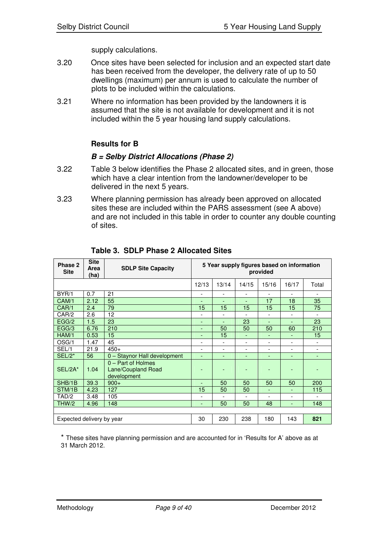supply calculations.

- 3.20 Once sites have been selected for inclusion and an expected start date has been received from the developer, the delivery rate of up to 50 dwellings (maximum) per annum is used to calculate the number of plots to be included within the calculations.
- 3.21 Where no information has been provided by the landowners it is assumed that the site is not available for development and it is not included within the 5 year housing land supply calculations.

# **Results for B**

## *B = Selby District Allocations (Phase 2)*

- 3.22 Table 3 below identifies the Phase 2 allocated sites, and in green, those which have a clear intention from the landowner/developer to be delivered in the next 5 years.
- 3.23 Where planning permission has already been approved on allocated sites these are included within the PARS assessment (see A above) and are not included in this table in order to counter any double counting of sites.

| Phase 2<br><b>Site</b>                                      | <b>Site</b><br><b>SDLP Site Capacity</b><br>Area<br>(ha) |                                                                | 5 Year supply figures based on information<br>provided |                          |                          |                |                          |                          |  |
|-------------------------------------------------------------|----------------------------------------------------------|----------------------------------------------------------------|--------------------------------------------------------|--------------------------|--------------------------|----------------|--------------------------|--------------------------|--|
|                                                             |                                                          |                                                                | 12/13                                                  | 13/14                    | 14/15                    | 15/16          | 16/17                    | Total                    |  |
| BYR/1                                                       | 0.7                                                      | 21                                                             | $\overline{\phantom{a}}$                               |                          | $\overline{\phantom{0}}$ | $\overline{a}$ | $\overline{\phantom{a}}$ | $\overline{\phantom{a}}$ |  |
| CAM/1                                                       | 2.12                                                     | 55                                                             | ٠                                                      | $\overline{\phantom{0}}$ | ٠                        | 17             | 18                       | 35                       |  |
| CAR/1                                                       | 2.4                                                      | 79                                                             | 15                                                     | 15                       | 15                       | 15             | 15                       | 75                       |  |
| CAR/2                                                       | 2.6                                                      | 12                                                             | -                                                      | $\blacksquare$           |                          | $\overline{a}$ | $\blacksquare$           |                          |  |
| EGG/2                                                       | 1.5                                                      | 23                                                             | ٠                                                      | ٠                        | 23                       | $\overline{a}$ |                          | 23                       |  |
| EGG/3                                                       | 6.76                                                     | 210                                                            | $\overline{\phantom{0}}$                               | 50                       | 50                       | 50             | 60                       | 210                      |  |
| HAM/1                                                       | 0.53                                                     | 15                                                             | ٠                                                      | 15                       | ٠                        | -              | ٠                        | 15                       |  |
| OSG/1                                                       | 1.47                                                     | 45                                                             | $\overline{\phantom{0}}$                               |                          |                          | $\overline{a}$ | $\overline{\phantom{a}}$ | $\overline{\phantom{a}}$ |  |
| SEL/1                                                       | 21.9                                                     | $450+$                                                         | $\overline{\phantom{0}}$                               | $\overline{\phantom{0}}$ | $\overline{\phantom{0}}$ | -              | $\overline{\phantom{a}}$ | $\overline{\phantom{a}}$ |  |
| $SEL/2*$                                                    | 56                                                       | 0 - Staynor Hall development                                   | ٠                                                      | ٠                        | ٠                        | -              | ٠                        | ٠                        |  |
| SEL/2A*                                                     | 1.04                                                     | 0 - Part of Holmes<br><b>Lane/Coupland Road</b><br>development |                                                        |                          |                          |                |                          |                          |  |
| SHB/1B                                                      | 39.3                                                     | $900+$                                                         | ٠                                                      | 50                       | 50                       | 50             | 50                       | 200                      |  |
| STM/1B                                                      | 4.23                                                     | 127                                                            | 15                                                     | 50                       | 50                       | L,             | $\overline{\phantom{a}}$ | 115                      |  |
| TAD/2                                                       | 3.48                                                     | 105                                                            | -                                                      |                          |                          | $\overline{a}$ | $\overline{\phantom{a}}$ |                          |  |
| THW/2                                                       | 4.96                                                     | 148                                                            | $\overline{\phantom{a}}$                               | 50                       | 50                       | 48             | $\overline{\phantom{a}}$ | 148                      |  |
|                                                             |                                                          |                                                                |                                                        |                          |                          |                |                          |                          |  |
| 30<br>230<br>238<br>180<br>143<br>Expected delivery by year |                                                          |                                                                |                                                        |                          | 821                      |                |                          |                          |  |

**Table 3. SDLP Phase 2 Allocated Sites**

\* These sites have planning permission and are accounted for in 'Results for A' above as at 31 March 2012.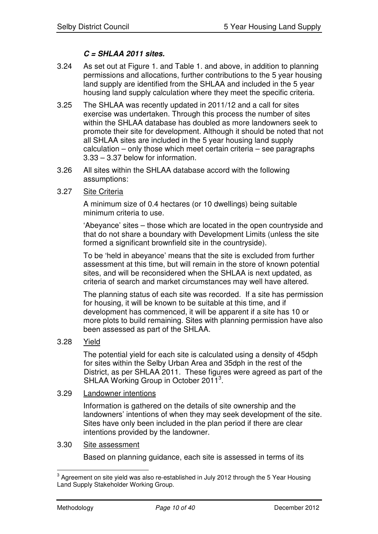# *C = SHLAA 2011 sites.*

- 3.24 As set out at Figure 1. and Table 1. and above, in addition to planning permissions and allocations, further contributions to the 5 year housing land supply are identified from the SHLAA and included in the 5 year housing land supply calculation where they meet the specific criteria.
- 3.25 The SHLAA was recently updated in 2011/12 and a call for sites exercise was undertaken. Through this process the number of sites within the SHLAA database has doubled as more landowners seek to promote their site for development. Although it should be noted that not all SHLAA sites are included in the 5 year housing land supply calculation – only those which meet certain criteria – see paragraphs 3.33 – 3.37 below for information.
- 3.26 All sites within the SHLAA database accord with the following assumptions:
- 3.27 Site Criteria

A minimum size of 0.4 hectares (or 10 dwellings) being suitable minimum criteria to use.

'Abeyance' sites – those which are located in the open countryside and that do not share a boundary with Development Limits (unless the site formed a significant brownfield site in the countryside).

To be 'held in abeyance' means that the site is excluded from further assessment at this time, but will remain in the store of known potential sites, and will be reconsidered when the SHLAA is next updated, as criteria of search and market circumstances may well have altered.

The planning status of each site was recorded. If a site has permission for housing, it will be known to be suitable at this time, and if development has commenced, it will be apparent if a site has 10 or more plots to build remaining. Sites with planning permission have also been assessed as part of the SHLAA.

3.28 Yield

The potential yield for each site is calculated using a density of 45dph for sites within the Selby Urban Area and 35dph in the rest of the District, as per SHLAA 2011. These figures were agreed as part of the SHLAA Working Group in October 2011<sup>3</sup>.

#### 3.29 Landowner intentions

Information is gathered on the details of site ownership and the landowners' intentions of when they may seek development of the site. Sites have only been included in the plan period if there are clear intentions provided by the landowner.

#### 3.30 Site assessment

Based on planning guidance, each site is assessed in terms of its

 $^{\rm 3}$  Agreement on site yield was also re-established in July 2012 through the 5 Year Housing Land Supply Stakeholder Working Group.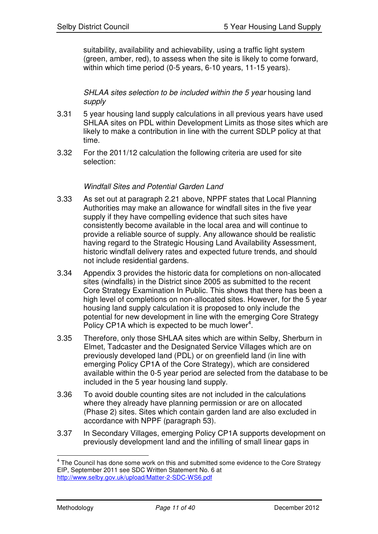suitability, availability and achievability, using a traffic light system (green, amber, red), to assess when the site is likely to come forward, within which time period (0-5 years, 6-10 years, 11-15 years).

*SHLAA sites selection to be included within the 5 year* housing land *supply*

- 3.31 5 year housing land supply calculations in all previous years have used SHLAA sites on PDL within Development Limits as those sites which are likely to make a contribution in line with the current SDLP policy at that time.
- 3.32 For the 2011/12 calculation the following criteria are used for site selection:

## *Windfall Sites and Potential Garden Land*

- 3.33 As set out at paragraph 2.21 above, NPPF states that Local Planning Authorities may make an allowance for windfall sites in the five year supply if they have compelling evidence that such sites have consistently become available in the local area and will continue to provide a reliable source of supply. Any allowance should be realistic having regard to the Strategic Housing Land Availability Assessment, historic windfall delivery rates and expected future trends, and should not include residential gardens.
- 3.34 Appendix 3 provides the historic data for completions on non-allocated sites (windfalls) in the District since 2005 as submitted to the recent Core Strategy Examination In Public. This shows that there has been a high level of completions on non-allocated sites. However, for the 5 year housing land supply calculation it is proposed to only include the potential for new development in line with the emerging Core Strategy Policy CP1A which is expected to be much lower $4$ .
- 3.35 Therefore, only those SHLAA sites which are within Selby, Sherburn in Elmet, Tadcaster and the Designated Service Villages which are on previously developed land (PDL) or on greenfield land (in line with emerging Policy CP1A of the Core Strategy), which are considered available within the 0-5 year period are selected from the database to be included in the 5 year housing land supply.
- 3.36 To avoid double counting sites are not included in the calculations where they already have planning permission or are on allocated (Phase 2) sites. Sites which contain garden land are also excluded in accordance with NPPF (paragraph 53).
- 3.37 In Secondary Villages, emerging Policy CP1A supports development on previously development land and the infilling of small linear gaps in

 $<sup>4</sup>$  The Council has done some work on this and submitted some evidence to the Core Strategy</sup> EIP, September 2011 see SDC Written Statement No. 6 at http://www.selby.gov.uk/upload/Matter-2-SDC-WS6.pdf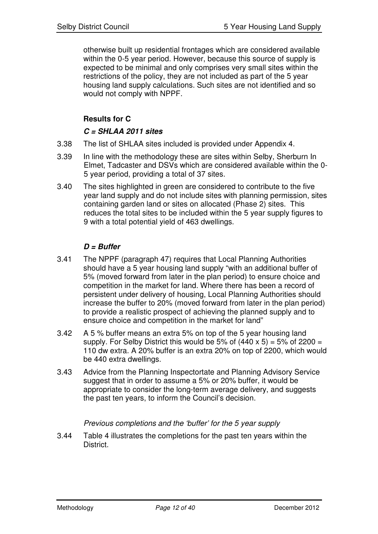otherwise built up residential frontages which are considered available within the 0-5 year period. However, because this source of supply is expected to be minimal and only comprises very small sites within the restrictions of the policy, they are not included as part of the 5 year housing land supply calculations. Such sites are not identified and so would not comply with NPPF.

# **Results for C**

# *C = SHLAA 2011 sites*

- 3.38 The list of SHLAA sites included is provided under Appendix 4.
- 3.39 In line with the methodology these are sites within Selby, Sherburn In Elmet, Tadcaster and DSVs which are considered available within the 0- 5 year period, providing a total of 37 sites.
- 3.40 The sites highlighted in green are considered to contribute to the five year land supply and do not include sites with planning permission, sites containing garden land or sites on allocated (Phase 2) sites. This reduces the total sites to be included within the 5 year supply figures to 9 with a total potential yield of 463 dwellings.

# *D = Buffer*

- 3.41 The NPPF (paragraph 47) requires that Local Planning Authorities should have a 5 year housing land supply "with an additional buffer of 5% (moved forward from later in the plan period) to ensure choice and competition in the market for land. Where there has been a record of persistent under delivery of housing, Local Planning Authorities should increase the buffer to 20% (moved forward from later in the plan period) to provide a realistic prospect of achieving the planned supply and to ensure choice and competition in the market for land"
- 3.42 A 5 % buffer means an extra 5% on top of the 5 year housing land supply. For Selby District this would be 5% of  $(440 \times 5) = 5\%$  of 2200 = 110 dw extra. A 20% buffer is an extra 20% on top of 2200, which would be 440 extra dwellings.
- 3.43 Advice from the Planning Inspectortate and Planning Advisory Service suggest that in order to assume a 5% or 20% buffer, it would be appropriate to consider the long-term average delivery, and suggests the past ten years, to inform the Council's decision.

# *Previous completions and the 'buffer' for the 5 year supply*

3.44 Table 4 illustrates the completions for the past ten years within the District.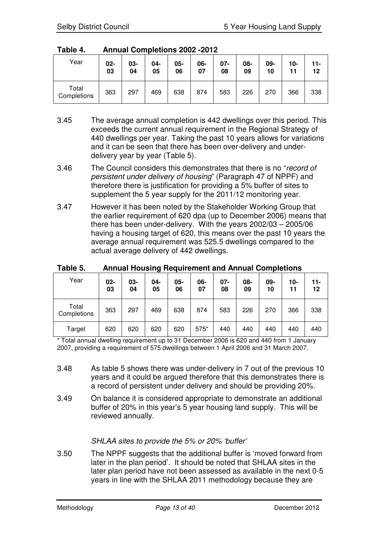| Table 4. |  | <b>Annual Completions 2002 -2012</b> |  |
|----------|--|--------------------------------------|--|
|          |  |                                      |  |

| Year                 | $02-$<br>03 | 03-<br>04 | 04-<br>05 | 05-<br>06 | 06-<br>07 | $07 -$<br>08 | 08-<br>09 | 09-<br>10 | 10- | $11 -$<br>12 |
|----------------------|-------------|-----------|-----------|-----------|-----------|--------------|-----------|-----------|-----|--------------|
| Total<br>Completions | 363         | 297       | 469       | 638       | 874       | 583          | 226       | 270       | 366 | 338          |

- 3.45 The average annual completion is 442 dwellings over this period. This exceeds the current annual requirement in the Regional Strategy of 440 dwellings per year. Taking the past 10 years allows for variations and it can be seen that there has been over-delivery and underdelivery year by year (Table 5).
- 3.46 The Council considers this demonstrates that there is no "*record of persistent under delivery of housing*" (Paragraph 47 of NPPF) and therefore there is justification for providing a 5% buffer of sites to supplement the 5 year supply for the 2011/12 monitoring year.
- 3.47 However it has been noted by the Stakeholder Working Group that the earlier requirement of 620 dpa (up to December 2006) means that there has been under-delivery. With the years 2002/03 – 2005/06 having a housing target of 620, this means over the past 10 years the average annual requirement was 525.5 dwellings compared to the actual average delivery of 442 dwellings.

| Year                 | $02-$<br>03 | 03-<br>04 | 04-<br>05 | 05-<br>06 | 06-<br>07 | $07 -$<br>08 | 08-<br>09 | 09-<br>10 | 10-<br>11 | 11-<br>12 |
|----------------------|-------------|-----------|-----------|-----------|-----------|--------------|-----------|-----------|-----------|-----------|
| Total<br>Completions | 363         | 297       | 469       | 638       | 874       | 583          | 226       | 270       | 366       | 338       |
| Target               | 620         | 620       | 620       | 620       | 575*      | 440          | 440       | 440       | 440       | 440       |

**Table 5. Annual Housing Requirement and Annual Completions**

\* Total annual dwelling requirement up to 31 December 2006 is 620 and 440 from 1 January 2007, providing a requirement of 575 dwellings between 1 April 2006 and 31 March 2007.

- 3.48 As table 5 shows there was under-delivery in 7 out of the previous 10 years and it could be argued therefore that this demonstrates there is a record of persistent under delivery and should be providing 20%.
- 3.49 On balance it is considered appropriate to demonstrate an additional buffer of 20% in this year's 5 year housing land supply. This will be reviewed annually.

# *SHLAA sites to provide the 5% or 20% 'buffer'*

3.50 The NPPF suggests that the additional buffer is 'moved forward from later in the plan period'. It should be noted that SHLAA sites in the later plan period have not been assessed as available in the next 0-5 years in line with the SHLAA 2011 methodology because they are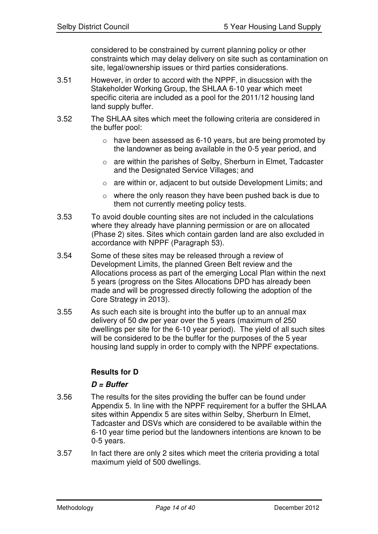considered to be constrained by current planning policy or other constraints which may delay delivery on site such as contamination on site, legal/ownership issues or third parties considerations.

- 3.51 However, in order to accord with the NPPF, in disucssion with the Stakeholder Working Group, the SHLAA 6-10 year which meet specific citeria are included as a pool for the 2011/12 housing land land supply buffer.
- 3.52 The SHLAA sites which meet the following criteria are considered in the buffer pool:
	- $\circ$  have been assessed as 6-10 years, but are being promoted by the landowner as being available in the 0-5 year period, and
	- o are within the parishes of Selby, Sherburn in Elmet, Tadcaster and the Designated Service Villages; and
	- o are within or, adjacent to but outside Development Limits; and
	- o where the only reason they have been pushed back is due to them not currently meeting policy tests.
- 3.53 To avoid double counting sites are not included in the calculations where they already have planning permission or are on allocated (Phase 2) sites. Sites which contain garden land are also excluded in accordance with NPPF (Paragraph 53).
- 3.54 Some of these sites may be released through a review of Development Limits, the planned Green Belt review and the Allocations process as part of the emerging Local Plan within the next 5 years (progress on the Sites Allocations DPD has already been made and will be progressed directly following the adoption of the Core Strategy in 2013).
- 3.55 As such each site is brought into the buffer up to an annual max delivery of 50 dw per year over the 5 years (maximum of 250 dwellings per site for the 6-10 year period). The yield of all such sites will be considered to be the buffer for the purposes of the 5 year housing land supply in order to comply with the NPPF expectations.

# **Results for D**

# *D = Buffer*

- 3.56 The results for the sites providing the buffer can be found under Appendix 5. In line with the NPPF requirement for a buffer the SHLAA sites within Appendix 5 are sites within Selby, Sherburn In Elmet, Tadcaster and DSVs which are considered to be available within the 6-10 year time period but the landowners intentions are known to be 0-5 years.
- 3.57 In fact there are only 2 sites which meet the criteria providing a total maximum yield of 500 dwellings.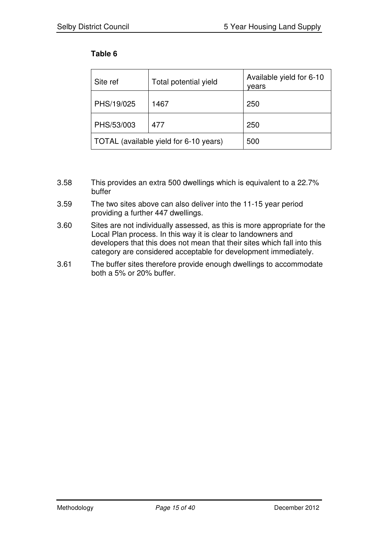# **Table 6**

| Site ref   | Total potential yield                  | Available yield for 6-10<br>years |
|------------|----------------------------------------|-----------------------------------|
| PHS/19/025 | 1467                                   | 250                               |
| PHS/53/003 | 477                                    | 250                               |
|            | TOTAL (available yield for 6-10 years) | 500                               |

- 3.58 This provides an extra 500 dwellings which is equivalent to a 22.7% buffer
- 3.59 The two sites above can also deliver into the 11-15 year period providing a further 447 dwellings.
- 3.60 Sites are not individually assessed, as this is more appropriate for the Local Plan process. In this way it is clear to landowners and developers that this does not mean that their sites which fall into this category are considered acceptable for development immediately.
- 3.61 The buffer sites therefore provide enough dwellings to accommodate both a 5% or 20% buffer.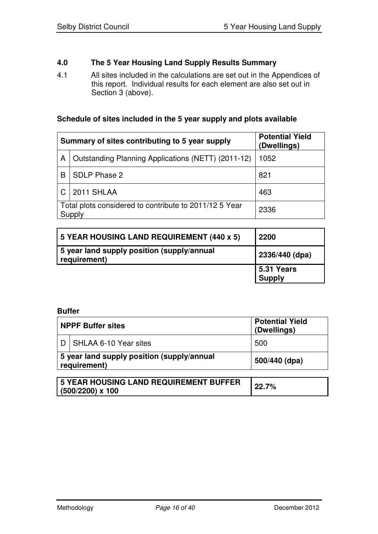# **4.0 The 5 Year Housing Land Supply Results Summary**

4.1 All sites included in the calculations are set out in the Appendices of this report. Individual results for each element are also set out in Section 3 (above).

# **Schedule of sites included in the 5 year supply and plots available**

|   | Summary of sites contributing to 5 year supply                   | <b>Potential Yield</b><br>(Dwellings) |
|---|------------------------------------------------------------------|---------------------------------------|
| A | Outstanding Planning Applications (NETT) (2011-12)               | 1052                                  |
| B | SDLP Phase 2                                                     | 821                                   |
|   | 2011 SHLAA                                                       | 463                                   |
|   | Total plots considered to contribute to 2011/12 5 Year<br>Supply | 2336                                  |

| 5 YEAR HOUSING LAND REQUIREMENT (440 x 5)                  | 2200                        |
|------------------------------------------------------------|-----------------------------|
| 5 year land supply position (supply/annual<br>requirement) | 2336/440 (dpa)              |
|                                                            | 5.31 Years<br><b>Supply</b> |

#### **Buffer**

| <b>NPPF Buffer sites</b>                                   | <b>Potential Yield</b><br>(Dwellings) |
|------------------------------------------------------------|---------------------------------------|
| SHLAA 6-10 Year sites                                      | 500                                   |
| 5 year land supply position (supply/annual<br>requirement) | 500/440 (dpa)                         |
|                                                            |                                       |

| <b>5 YEAR HOUSING LAND REQUIREMENT BUFFER</b> | 22.7% |
|-----------------------------------------------|-------|
| $(500/2200)$ x 100                            |       |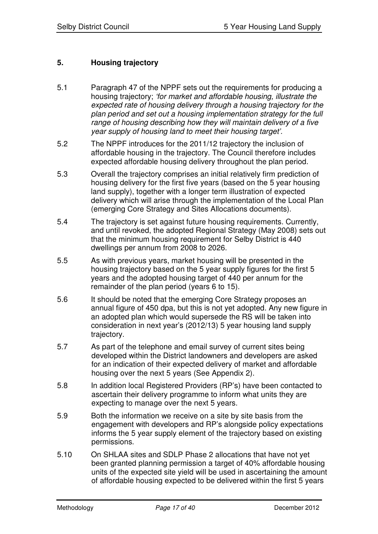# **5. Housing trajectory**

- 5.1 Paragraph 47 of the NPPF sets out the requirements for producing a housing trajectory; *'for market and affordable housing, illustrate the expected rate of housing delivery through a housing trajectory for the plan period and set out a housing implementation strategy for the full range of housing describing how they will maintain delivery of a five year supply of housing land to meet their housing target'.*
- 5.2 The NPPF introduces for the 2011/12 trajectory the inclusion of affordable housing in the trajectory. The Council therefore includes expected affordable housing delivery throughout the plan period.
- 5.3 Overall the trajectory comprises an initial relatively firm prediction of housing delivery for the first five years (based on the 5 year housing land supply), together with a longer term illustration of expected delivery which will arise through the implementation of the Local Plan (emerging Core Strategy and Sites Allocations documents).
- 5.4 The trajectory is set against future housing requirements. Currently, and until revoked, the adopted Regional Strategy (May 2008) sets out that the minimum housing requirement for Selby District is 440 dwellings per annum from 2008 to 2026.
- 5.5 As with previous years, market housing will be presented in the housing trajectory based on the 5 year supply figures for the first 5 years and the adopted housing target of 440 per annum for the remainder of the plan period (years 6 to 15).
- 5.6 It should be noted that the emerging Core Strategy proposes an annual figure of 450 dpa, but this is not yet adopted. Any new figure in an adopted plan which would supersede the RS will be taken into consideration in next year's (2012/13) 5 year housing land supply trajectory.
- 5.7 As part of the telephone and email survey of current sites being developed within the District landowners and developers are asked for an indication of their expected delivery of market and affordable housing over the next 5 years (See Appendix 2).
- 5.8 In addition local Registered Providers (RP's) have been contacted to ascertain their delivery programme to inform what units they are expecting to manage over the next 5 years.
- 5.9 Both the information we receive on a site by site basis from the engagement with developers and RP's alongside policy expectations informs the 5 year supply element of the trajectory based on existing permissions.
- 5.10 On SHLAA sites and SDLP Phase 2 allocations that have not yet been granted planning permission a target of 40% affordable housing units of the expected site yield will be used in ascertaining the amount of affordable housing expected to be delivered within the first 5 years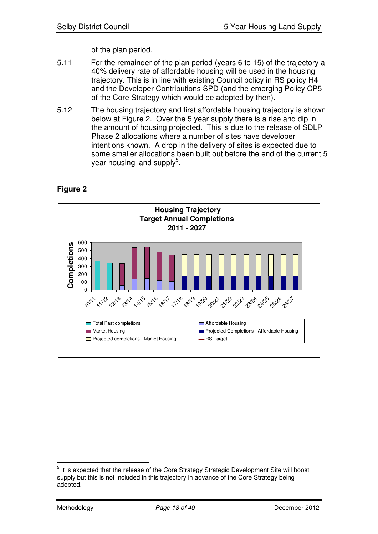of the plan period.

- 5.11 For the remainder of the plan period (years 6 to 15) of the trajectory a 40% delivery rate of affordable housing will be used in the housing trajectory. This is in line with existing Council policy in RS policy H4 and the Developer Contributions SPD (and the emerging Policy CP5 of the Core Strategy which would be adopted by then).
- 5.12 The housing trajectory and first affordable housing trajectory is shown below at Figure 2. Over the 5 year supply there is a rise and dip in the amount of housing projected. This is due to the release of SDLP Phase 2 allocations where a number of sites have developer intentions known. A drop in the delivery of sites is expected due to some smaller allocations been built out before the end of the current 5 year housing land supply<sup>5</sup>.





<sup>&</sup>lt;sup>5</sup> It is expected that the release of the Core Strategy Strategic Development Site will boost supply but this is not included in this trajectory in advance of the Core Strategy being adopted.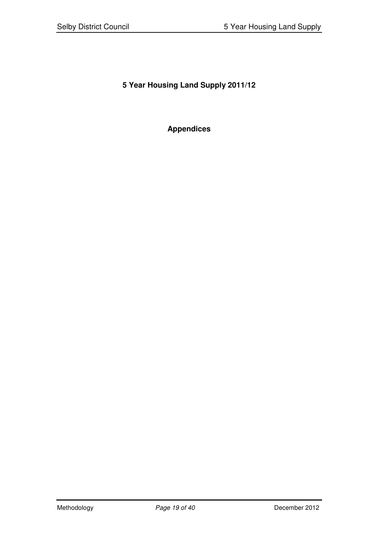# **5 Year Housing Land Supply 2011/12**

# **Appendices**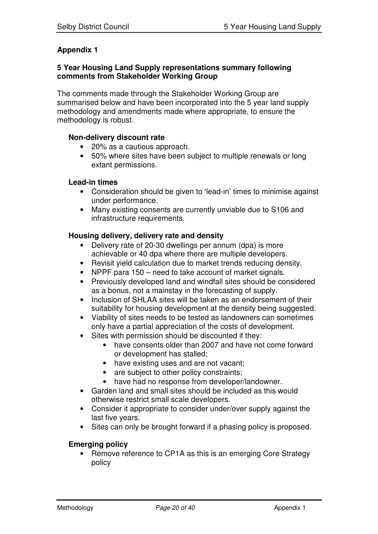# **Appendix 1**

#### **5 Year Housing Land Supply representations summary following comments from Stakeholder Working Group**

The comments made through the Stakeholder Working Group are summarised below and have been incorporated into the 5 year land supply methodology and amendments made where appropriate, to ensure the methodology is robust.

## **Non-delivery discount rate**

- 20% as a cautious approach.
- 50% where sites have been subject to multiple renewals or long extant permissions.

#### **Lead-in times**

- Consideration should be given to 'lead-in' times to minimise against under performance.
- Many existing consents are currently unviable due to S106 and infrastructure requirements.

#### **Housing delivery, delivery rate and density**

- Delivery rate of 20-30 dwellings per annum (dpa) is more achievable or 40 dpa where there are multiple developers.
- Revisit yield calculation due to market trends reducing density.
- NPPF para 150 need to take account of market signals.
- Previously developed land and windfall sites should be considered as a bonus, not a mainstay in the forecasting of supply.
- Inclusion of SHLAA sites will be taken as an endorsement of their suitability for housing development at the density being suggested.
- Viability of sites needs to be tested as landowners can sometimes only have a partial appreciation of the costs of development.
- Sites with permission should be discounted if they:
	- have consents older than 2007 and have not come forward or development has stalled;
	- have existing uses and are not vacant;
	- are subject to other policy constraints;
	- have had no response from developer/landowner.
- Garden land and small sites should be included as this would otherwise restrict small scale developers.
- Consider it appropriate to consider under/over supply against the last five years.
- Sites can only be brought forward if a phasing policy is proposed.

#### **Emerging policy**

• Remove reference to CP1A as this is an emerging Core Strategy policy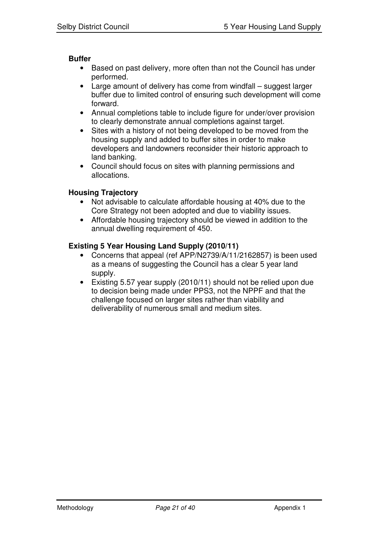#### **Buffer**

- Based on past delivery, more often than not the Council has under performed.
- Large amount of delivery has come from windfall suggest larger buffer due to limited control of ensuring such development will come forward.
- Annual completions table to include figure for under/over provision to clearly demonstrate annual completions against target.
- Sites with a history of not being developed to be moved from the housing supply and added to buffer sites in order to make developers and landowners reconsider their historic approach to land banking.
- Council should focus on sites with planning permissions and allocations.

## **Housing Trajectory**

- Not advisable to calculate affordable housing at 40% due to the Core Strategy not been adopted and due to viability issues.
- Affordable housing trajectory should be viewed in addition to the annual dwelling requirement of 450.

## **Existing 5 Year Housing Land Supply (2010/11)**

- Concerns that appeal (ref APP/N2739/A/11/2162857) is been used as a means of suggesting the Council has a clear 5 year land supply.
- Existing 5.57 year supply (2010/11) should not be relied upon due to decision being made under PPS3, not the NPPF and that the challenge focused on larger sites rather than viability and deliverability of numerous small and medium sites.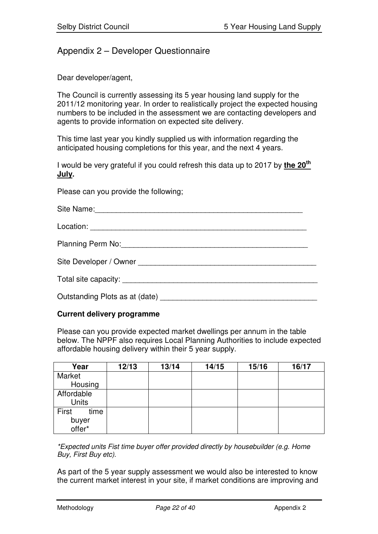# Appendix 2 – Developer Questionnaire

Dear developer/agent,

The Council is currently assessing its 5 year housing land supply for the 2011/12 monitoring year. In order to realistically project the expected housing numbers to be included in the assessment we are contacting developers and agents to provide information on expected site delivery.

This time last year you kindly supplied us with information regarding the anticipated housing completions for this year, and the next 4 years.

I would be very grateful if you could refresh this data up to 2017 by **the 20 th July.**

Please can you provide the following;

| Site Name:                                                                                                                                                                                                                     |
|--------------------------------------------------------------------------------------------------------------------------------------------------------------------------------------------------------------------------------|
|                                                                                                                                                                                                                                |
| Planning Perm No: 1990 Manual Planning Perm No:                                                                                                                                                                                |
| Site Developer / Owner North Communication of the United States of the United States of the United States of the United States of the United States of the United States of the United States of the United States of the Unit |
|                                                                                                                                                                                                                                |
| Outstanding Plots as at (date)                                                                                                                                                                                                 |

#### **Current delivery programme**

Please can you provide expected market dwellings per annum in the table below. The NPPF also requires Local Planning Authorities to include expected affordable housing delivery within their 5 year supply.

| Year                             | 12/13 | 13/14 | 14/15 | 15/16 | 16/17 |
|----------------------------------|-------|-------|-------|-------|-------|
| Market                           |       |       |       |       |       |
| Housing                          |       |       |       |       |       |
| Affordable<br><b>Units</b>       |       |       |       |       |       |
| First<br>time<br>buyer<br>offer* |       |       |       |       |       |

*\*Expected units Fist time buyer offer provided directly by housebuilder (e.g. Home Buy, First Buy etc).*

As part of the 5 year supply assessment we would also be interested to know the current market interest in your site, if market conditions are improving and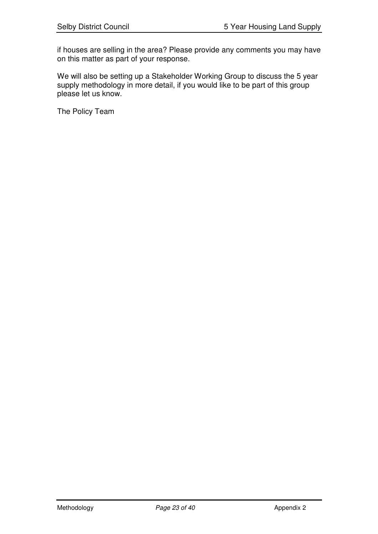if houses are selling in the area? Please provide any comments you may have on this matter as part of your response.

We will also be setting up a Stakeholder Working Group to discuss the 5 year supply methodology in more detail, if you would like to be part of this group please let us know.

The Policy Team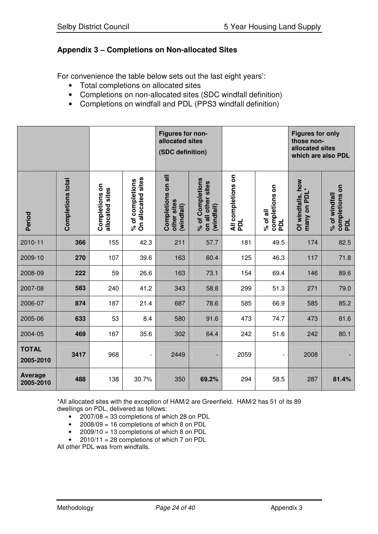# **Appendix 3 – Completions on Non-allocated Sites**

For convenience the table below sets out the last eight years':

- Total completions on allocated sites
- Completions on non-allocated sites (SDC windfall definition)
- Completions on windfall and PDL (PPS3 windfall definition)

|                           |                          |                                   |                                        | Figures for non-<br>allocated sites<br>(SDC definition) |                                                      |                           |                                   | <b>Figures for only</b><br>those non-<br>allocated sites<br>which are also PDL |                                        |
|---------------------------|--------------------------|-----------------------------------|----------------------------------------|---------------------------------------------------------|------------------------------------------------------|---------------------------|-----------------------------------|--------------------------------------------------------------------------------|----------------------------------------|
| Period                    | <b>Completions total</b> | Completions on<br>allocated sites | On allocated sites<br>% of completions | on all<br>Completions<br>other sites<br>(windfall)      | % of Completions<br>on all other sites<br>(windfall) | All completions on<br>pol | completions on<br>PDL<br>% of all | how<br>$\ast$<br>Of windfalls,<br>many on PDI                                  | completions on<br>% of windfall<br>pol |
| 2010-11                   | 366                      | 155                               | 42.3                                   | 211                                                     | 57.7                                                 | 181                       | 49.5                              | 174                                                                            | 82.5                                   |
| 2009-10                   | 270                      | 107                               | 39.6                                   | 163                                                     | 60.4                                                 | 125                       | 46.3                              | 117                                                                            | 71.8                                   |
| 2008-09                   | 222                      | 59                                | 26.6                                   | 163                                                     | 73.1                                                 | 154                       | 69.4                              | 146                                                                            | 89.6                                   |
| 2007-08                   | 583                      | 240                               | 41.2                                   | 343                                                     | 58.8                                                 | 299                       | 51.3                              | 271                                                                            | 79.0                                   |
| 2006-07                   | 874                      | 187                               | 21.4                                   | 687                                                     | 78.6                                                 | 585                       | 66.9                              | 585                                                                            | 85.2                                   |
| 2005-06                   | 633                      | 53                                | 8.4                                    | 580                                                     | 91.6                                                 | 473                       | 74.7                              | 473                                                                            | 81.6                                   |
| 2004-05                   | 469                      | 167                               | 35.6                                   | 302                                                     | 64.4                                                 | 242                       | 51.6                              | 242                                                                            | 80.1                                   |
| <b>TOTAL</b><br>2005-2010 | 3417                     | 968                               | $\overline{\phantom{a}}$               | 2449                                                    |                                                      | 2059                      |                                   | 2008                                                                           |                                        |
| Average<br>2005-2010      | 488                      | 138                               | 30.7%                                  | 350                                                     | 69.2%                                                | 294                       | 58.5                              | 287                                                                            | 81.4%                                  |

\*All allocated sites with the exception of HAM/2 are Greenfield. HAM/2 has 51 of its 89 dwellings on PDL, delivered as follows:

- 2007/08 = 33 completions of which 28 on PDL
- 2008/09 = 16 completions of which 8 on PDL
- 2009/10 = 13 completions of which 8 on PDL
- $2010/11 = 28$  completions of which 7 on PDL

All other PDL was from windfalls.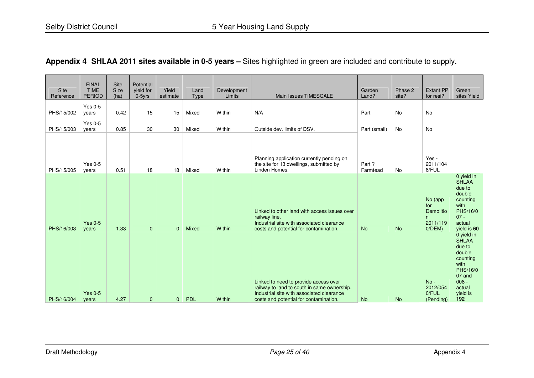# **Appendix 4 SHLAA 2011 sites available in 0-5 years –** Sites highlighted in green are included and contribute to supply.

| Site<br>Reference | <b>FINAL</b><br><b>TIME</b><br><b>PERIOD</b> | Site<br>Size<br>(ha) | Potential<br>yield for<br>$0-5$ yrs | Yield<br>estimate | Land<br>Type | Development<br>Limits | Main Issues TIMESCALE                                                                                                                                                       | Garden<br>Land?   | Phase 2<br>site? | <b>Extant PP</b><br>for resi?                              | Green<br>sites Yield                                                                                                             |
|-------------------|----------------------------------------------|----------------------|-------------------------------------|-------------------|--------------|-----------------------|-----------------------------------------------------------------------------------------------------------------------------------------------------------------------------|-------------------|------------------|------------------------------------------------------------|----------------------------------------------------------------------------------------------------------------------------------|
| PHS/15/002        | Yes $0-5$<br>years                           | 0.42                 | 15                                  | 15                | Mixed        | Within                | N/A                                                                                                                                                                         | Part              | No               | <b>No</b>                                                  |                                                                                                                                  |
| PHS/15/003        | Yes $0-5$<br>vears                           | 0.85                 | 30                                  | 30                | Mixed        | Within                | Outside dev. limits of DSV.                                                                                                                                                 | Part (small)      | No               | No                                                         |                                                                                                                                  |
| PHS/15/005        | Yes $0-5$<br>vears                           | 0.51                 | 18                                  | 18                | Mixed        | Within                | Planning application currently pending on<br>the site for 13 dwellings, submitted by<br>Linden Homes.                                                                       | Part?<br>Farmtead | No               | Yes -<br>2011/104<br>8/FUL                                 |                                                                                                                                  |
| PHS/16/003        | Yes $0-5$<br>years                           | 1.33                 | $\mathbf{0}$                        | $\mathbf{0}$      | Mixed        | Within                | Linked to other land with access issues over<br>railway line.<br>Industrial site with associated clearance<br>costs and potential for contamination.                        | <b>No</b>         | <b>No</b>        | No (app<br>for<br>Demolitio<br>n.<br>2011/119<br>$0/DEM$ ) | 0 yield in<br><b>SHLAA</b><br>due to<br>double<br>counting<br>with<br>PHS/16/0<br>$07 -$<br>actual<br>yield is 60                |
| PHS/16/004        | Yes $0-5$<br>vears                           | 4.27                 | $\mathbf{0}$                        | $\mathbf{0}$      | <b>PDL</b>   | Within                | Linked to need to provide access over<br>railway to land to south in same ownership.<br>Industrial site with associated clearance<br>costs and potential for contamination. | <b>No</b>         | <b>No</b>        | $No -$<br>2012/054<br>0/FUL<br>(Pending)                   | 0 yield in<br><b>SHLAA</b><br>due to<br>double<br>counting<br>with<br>PHS/16/0<br>07 and<br>$008 -$<br>actual<br>yield is<br>192 |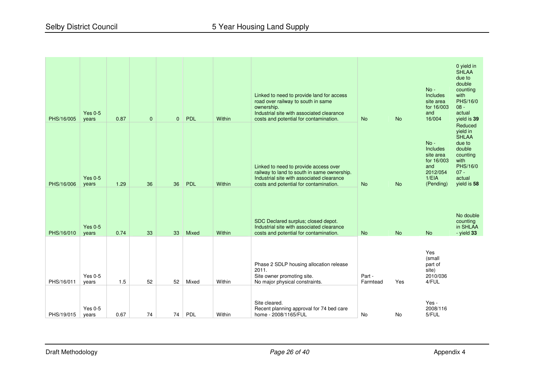| PHS/16/005 | <b>Yes 0-5</b><br>years | 0.87 | $\mathbf{0}$ | $\mathbf{0}$ | PDL   | Within | Linked to need to provide land for access<br>road over railway to south in same<br>ownership.<br>Industrial site with associated clearance<br>costs and potential for contamination. | <b>No</b>          | <b>No</b> | $No -$<br>Includes<br>site area<br>for 16/003<br>and<br>16/004                                | 0 yield in<br><b>SHLAA</b><br>due to<br>double<br>counting<br>with<br>PHS/16/0<br>$08 -$<br>actual<br>yield is 39          |
|------------|-------------------------|------|--------------|--------------|-------|--------|--------------------------------------------------------------------------------------------------------------------------------------------------------------------------------------|--------------------|-----------|-----------------------------------------------------------------------------------------------|----------------------------------------------------------------------------------------------------------------------------|
| PHS/16/006 | Yes $0-5$<br>years      | 1.29 | 36           | 36           | PDL   | Within | Linked to need to provide access over<br>railway to land to south in same ownership.<br>Industrial site with associated clearance<br>costs and potential for contamination.          | <b>No</b>          | <b>No</b> | $No -$<br><b>Includes</b><br>site area<br>for 16/003<br>and<br>2012/054<br>1/ELA<br>(Pending) | Reduced<br>yield in<br><b>SHLAA</b><br>due to<br>double<br>counting<br>with<br>PHS/16/0<br>$07 -$<br>actual<br>yield is 58 |
| PHS/16/010 | Yes $0-5$<br>years      | 0.74 | 33           | 33           | Mixed | Within | SDC Declared surplus; closed depot.<br>Industrial site with associated clearance<br>costs and potential for contamination.                                                           | <b>No</b>          | <b>No</b> | <b>No</b>                                                                                     | No double<br>counting<br>in SHLAA<br>- yield $33$                                                                          |
| PHS/16/011 | Yes $0-5$<br>vears      | 1.5  | 52           | 52           | Mixed | Within | Phase 2 SDLP housing allocation release<br>2011.<br>Site owner promoting site.<br>No major physical constraints.                                                                     | Part -<br>Farmtead | Yes       | Yes<br>(small<br>part of<br>site)<br>2010/036<br>4/FUL                                        |                                                                                                                            |
| PHS/19/015 | Yes $0-5$<br>years      | 0.67 | 74           | 74           | PDL   | Within | Site cleared.<br>Recent planning approval for 74 bed care<br>home - 2008/1165/FUL                                                                                                    | <b>No</b>          | <b>No</b> | Yes -<br>2008/116<br>5/FUL                                                                    |                                                                                                                            |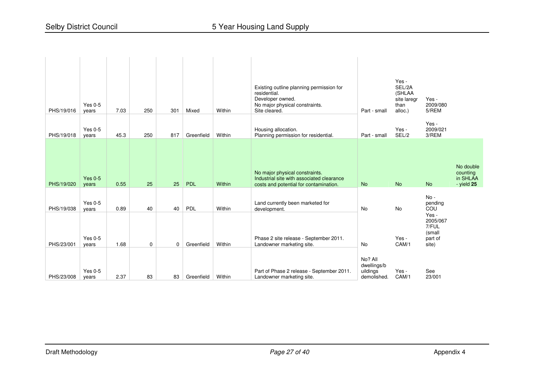| PHS/19/016<br>PHS/19/018 | Yes $0-5$<br>years<br>Yes $0-5$<br>years | 7.03<br>45.3 | 250<br>250         | 301<br>817     | Mixed<br>Greenfield | Within<br>Within | Existing outline planning permission for<br>residential.<br>Developer owned.<br>No major physical constraints.<br>Site cleared.<br>Housing allocation.<br>Planning permission for residential. | Part - small<br>Part - small                      | Yes -<br>SEL/2A<br>(SHLAA<br>site laregr<br>than<br>alloc.)<br>Yes -<br>SEL/2 | Yes -<br>2009/080<br>5/REM<br>Yes -<br>2009/021<br>3/REM                             |                                                     |
|--------------------------|------------------------------------------|--------------|--------------------|----------------|---------------------|------------------|------------------------------------------------------------------------------------------------------------------------------------------------------------------------------------------------|---------------------------------------------------|-------------------------------------------------------------------------------|--------------------------------------------------------------------------------------|-----------------------------------------------------|
| PHS/19/020               | Yes $0-5$<br>years                       | 0.55         | 25                 | 25             | <b>PDL</b>          | Within           | No major physical constraints.<br>Industrial site with associated clearance<br>costs and potential for contamination.                                                                          | <b>No</b>                                         | <b>No</b>                                                                     | <b>No</b>                                                                            | No double<br>counting<br>in SHLAA<br>$-$ yield $25$ |
| PHS/19/038<br>PHS/23/001 | Yes $0-5$<br>vears<br>Yes $0-5$<br>years | 0.89<br>1.68 | 40<br>$\mathbf{0}$ | 40<br>$\Omega$ | PDL<br>Greenfield   | Within<br>Within | Land currently been marketed for<br>development.<br>Phase 2 site release - September 2011.<br>Landowner marketing site.                                                                        | No<br>No                                          | <b>No</b><br>Yes -<br>CAM/1                                                   | $No -$<br>pending<br>COU<br>Yes -<br>2005/067<br>7/FUL<br>(small<br>part of<br>site) |                                                     |
| PHS/23/008               | $Yes 0-5$<br>years                       | 2.37         | 83                 | 83             | Greenfield          | Within           | Part of Phase 2 release - September 2011.<br>Landowner marketing site.                                                                                                                         | No? All<br>dwellings/b<br>uildings<br>demolished. | Yes -<br>CAM/1                                                                | See<br>23/001                                                                        |                                                     |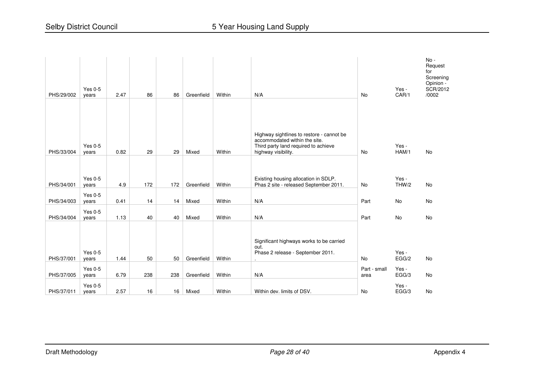| PHS/29/002 | <b>Yes 0-5</b><br>years | 2.47 | 86  | 86  | Greenfield | Within | N/A                                                                                                                                       | <b>No</b>            | Yes -<br>CAR/1 | $No -$<br>Request<br>for<br>Screening<br>Opinion -<br>SCR/2012<br>/0002 |
|------------|-------------------------|------|-----|-----|------------|--------|-------------------------------------------------------------------------------------------------------------------------------------------|----------------------|----------------|-------------------------------------------------------------------------|
| PHS/33/004 | <b>Yes 0-5</b><br>years | 0.82 | 29  | 29  | Mixed      | Within | Highway sightlines to restore - cannot be<br>accommodated within the site.<br>Third party land required to achieve<br>highway visibility. | <b>No</b>            | Yes -<br>HAM/1 | No                                                                      |
| PHS/34/001 | Yes $0-5$<br>years      | 4.9  | 172 | 172 | Greenfield | Within | Existing housing allocation in SDLP.<br>Phas 2 site - released September 2011.                                                            | <b>No</b>            | Yes -<br>THW/2 | <b>No</b>                                                               |
| PHS/34/003 | Yes $0-5$<br>years      | 0.41 | 14  | 14  | Mixed      | Within | N/A                                                                                                                                       | Part                 | No             | No                                                                      |
| PHS/34/004 | <b>Yes 0-5</b><br>years | 1.13 | 40  | 40  | Mixed      | Within | N/A                                                                                                                                       | Part                 | No             | No                                                                      |
| PHS/37/001 | Yes 0-5<br>years        | 1.44 | 50  | 50  | Greenfield | Within | Significant highways works to be carried<br>out.<br>Phase 2 release - September 2011.<br>$\sim$                                           | <b>No</b>            | Yes -<br>EGG/2 | <b>No</b>                                                               |
| PHS/37/005 | <b>Yes 0-5</b><br>years | 6.79 | 238 | 238 | Greenfield | Within | N/A                                                                                                                                       | Part - small<br>area | Yes -<br>EGG/3 | No                                                                      |
| PHS/37/011 | Yes $0-5$<br>years      | 2.57 | 16  | 16  | Mixed      | Within | Within dev. limits of DSV.                                                                                                                | No                   | Yes -<br>EGG/3 | No                                                                      |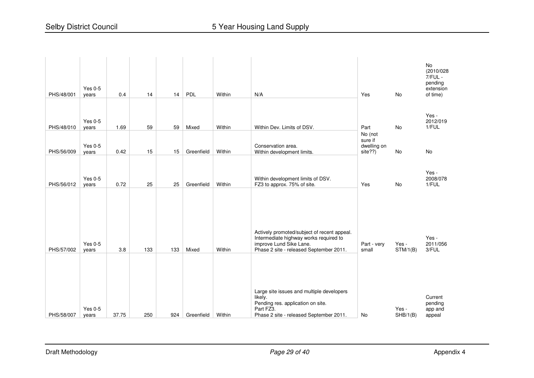| PHS/48/001 | $Yes 0-5$<br>years      | 0.4   | 14  | 14  | PDL        | Within | N/A                                                                                                                                                         | Yes                                          | <b>No</b>         | <b>No</b><br>(2010/028<br>$7/FUL -$<br>pending<br>extension<br>of time) |
|------------|-------------------------|-------|-----|-----|------------|--------|-------------------------------------------------------------------------------------------------------------------------------------------------------------|----------------------------------------------|-------------------|-------------------------------------------------------------------------|
| PHS/48/010 | <b>Yes 0-5</b><br>years | 1.69  | 59  | 59  | Mixed      | Within | Within Dev. Limits of DSV.                                                                                                                                  | Part                                         | <b>No</b>         | Yes -<br>2012/019<br>1/FUL                                              |
| PHS/56/009 | <b>Yes 0-5</b><br>years | 0.42  | 15  | 15  | Greenfield | Within | Conservation area.<br>Within development limits.                                                                                                            | No (not<br>sure if<br>dwelling on<br>site??) | No                | No                                                                      |
| PHS/56/012 | Yes $0-5$<br>years      | 0.72  | 25  | 25  | Greenfield | Within | Within development limits of DSV.<br>FZ3 to approx. 75% of site.                                                                                            | Yes                                          | No                | Yes -<br>2008/078<br>1/FUL                                              |
| PHS/57/002 | Yes $0-5$<br>years      | 3.8   | 133 | 133 | Mixed      | Within | Actively promoted/subject of recent appeal.<br>Intermediate highway works required to<br>improve Lund Sike Lane.<br>Phase 2 site - released September 2011. | Part - very<br>small                         | Yes -<br>STM/1(B) | Yes -<br>2011/056<br>3/FUL                                              |
| PHS/58/007 | <b>Yes 0-5</b><br>years | 37.75 | 250 | 924 | Greenfield | Within | Large site issues and multiple developers<br>likely.<br>Pending res. application on site.<br>Part FZ3.<br>Phase 2 site - released September 2011.           | No                                           | Yes -<br>SHB/1(B) | Current<br>pending<br>app and<br>appeal                                 |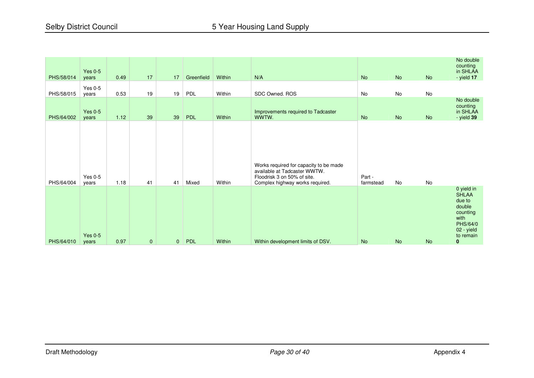| PHS/58/014 | Yes $0-5$<br>years      | 0.49 | 17           | 17           | Greenfield | Within | N/A                                                                                                                                      | <b>No</b>           | <b>No</b> | No        | No double<br>counting<br>in SHLAA<br>- yield 17                                                                |
|------------|-------------------------|------|--------------|--------------|------------|--------|------------------------------------------------------------------------------------------------------------------------------------------|---------------------|-----------|-----------|----------------------------------------------------------------------------------------------------------------|
| PHS/58/015 | Yes $0-5$<br>years      | 0.53 | 19           | 19           | PDL        | Within | SDC Owned. ROS                                                                                                                           | No                  | No        | No        |                                                                                                                |
| PHS/64/002 | Yes $0-5$<br>vears      | 1.12 | 39           | 39           | PDL        | Within | Improvements required to Tadcaster<br>WWTW.                                                                                              | <b>No</b>           | <b>No</b> | <b>No</b> | No double<br>counting<br>in SHLAA<br>$-$ yield $39$                                                            |
| PHS/64/004 | <b>Yes 0-5</b><br>years | 1.18 | 41           | 41           | Mixed      | Within | Works required for capacity to be made<br>available at Tadcaster WWTW.<br>Floodrisk 3 on 50% of site.<br>Complex highway works required. | Part -<br>farmstead | No        | No        |                                                                                                                |
| PHS/64/010 | Yes $0-5$<br>years      | 0.97 | $\mathbf{0}$ | $\mathbf{0}$ | PDL        | Within | Within development limits of DSV.                                                                                                        | <b>No</b>           | <b>No</b> | <b>No</b> | 0 yield in<br><b>SHLAA</b><br>due to<br>double<br>counting<br>with<br>PHS/64/0<br>02 - yield<br>to remain<br>0 |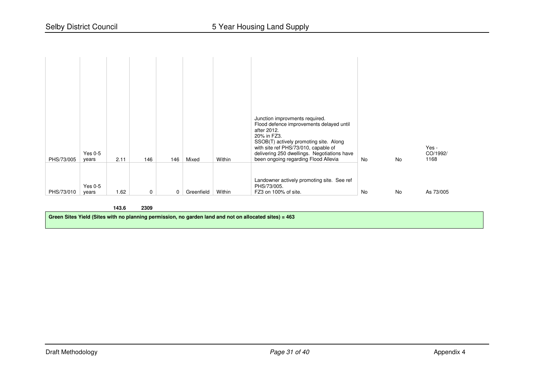| PHS/73/005 | Yes $0-5$<br>years | 2.11 | 146 | 146 | Mixed      | Within | Junction improvments required.<br>Flood defence improvements delayed until<br>after 2012.<br>20% in FZ3.<br>SSOB(T) actively promoting site. Along<br>with site ref PHS/73/010, capable of<br>delivering 250 dwellings. Negotiations have<br>been ongoing regarding Flood Allevia | No | No | Yes -<br>CO/1992/<br>1168 |
|------------|--------------------|------|-----|-----|------------|--------|-----------------------------------------------------------------------------------------------------------------------------------------------------------------------------------------------------------------------------------------------------------------------------------|----|----|---------------------------|
| PHS/73/010 | Yes $0-5$<br>years | 1.62 | 0   | 0   | Greenfield | Within | Landowner actively promoting site. See ref<br>PHS/73/005.<br>FZ3 on 100% of site.                                                                                                                                                                                                 | No | No | As 73/005                 |

#### **143.62309**

Green Sites Yield (Sites with no planning permission, no garden land and not on allocated sites) = 463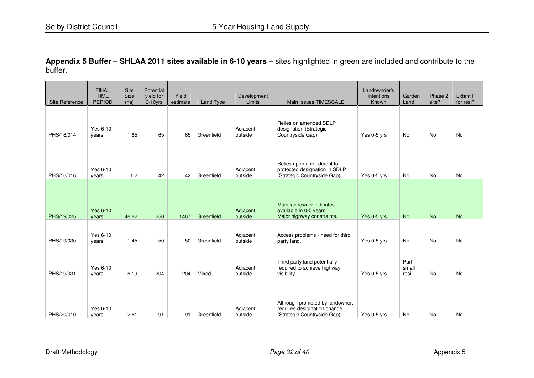**Appendix 5 Buffer – SHLAA 2011 sites available in 6-10 years –** sites highlighted in green are included and contribute to the buffer.

| Site Reference           | <b>FINAL</b><br><b>TIME</b><br><b>PERIOD</b> | Site<br><b>Size</b><br>(ha) | Potential<br>vield for<br>6-10yrs | Yield<br>estimate | <b>Land Type</b> | Development<br>Limits          | Main Issues TIMESCALE                                                                           | Landownder's<br>Intentions<br>Known | Garden<br>Land          | Phase 2<br>site?       | <b>Extant PP</b><br>for resi? |
|--------------------------|----------------------------------------------|-----------------------------|-----------------------------------|-------------------|------------------|--------------------------------|-------------------------------------------------------------------------------------------------|-------------------------------------|-------------------------|------------------------|-------------------------------|
| PHS/16/014               | Yes 6-10<br>years                            | 1.85                        | 65                                | 65                | Greenfield       | Adjacent<br>outside            | Relies on amended SDLP<br>designation (Strategic<br>Countryside Gap).                           | Yes 0-5 yrs                         | No                      | No                     | <b>No</b>                     |
| PHS/16/016               | Yes 6-10<br>years                            | 1.2                         | 42                                | 42                | Greenfield       | Adjacent<br>outside            | Relies upon amendment to<br>protected designation in SDLP<br>(Strategic Countryside Gap).       | Yes 0-5 yrs                         | No                      | No                     | <b>No</b>                     |
|                          | <b>Yes 6-10</b>                              |                             |                                   |                   | Greenfield       | Adjacent                       | Main landowner indicates<br>available in 0-5 years.                                             |                                     |                         |                        |                               |
| PHS/19/025<br>PHS/19/030 | years<br>Yes 6-10<br>years                   | 46.62<br>1.45               | 250<br>50                         | 1467<br>50        | Greenfield       | outside<br>Adjacent<br>outside | Major highway constraints.<br>Access problems - need for third<br>party land.                   | Yes 0-5 yrs<br>Yes 0-5 yrs          | <b>No</b><br>No         | <b>No</b><br><b>No</b> | <b>No</b><br><b>No</b>        |
| PHS/19/031               | Yes 6-10<br>years                            | 6.19                        | 204                               | 204               | Mixed            | Adjacent<br>outside            | Third party land potentially<br>required to achieve highway<br>visibility.                      | Yes 0-5 yrs                         | Part -<br>small<br>resi | <b>No</b>              | <b>No</b>                     |
| PHS/20/010               | Yes 6-10<br>vears                            | 2.61                        | 91                                | 91                | Greenfield       | Adjacent<br>outside            | Although promoted by landowner,<br>requires desigination change<br>(Strategic Countryside Gap). | Yes 0-5 yrs                         | <b>No</b>               | <b>No</b>              | <b>No</b>                     |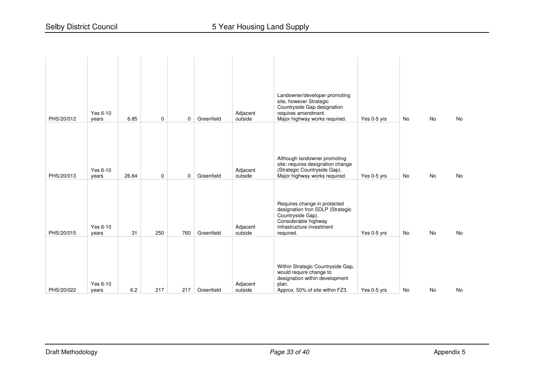| PHS/20/012 | Yes 6-10<br>years | 6.85  | $\mathbf 0$ | 0   | Greenfield | Adjacent<br>outside | Landowner/developer promoting<br>site, however Strategic<br>Countryside Gap designation<br>requires amendment.<br>Major highway works required.         | Yes 0-5 yrs | No | No        | No |
|------------|-------------------|-------|-------------|-----|------------|---------------------|---------------------------------------------------------------------------------------------------------------------------------------------------------|-------------|----|-----------|----|
| PHS/20/013 | Yes 6-10<br>years | 26.64 | $\mathbf 0$ | 0   | Greenfield | Adjacent<br>outside | Although landowner promoting<br>site; requires designation change<br>(Strategic Countryside Gap).<br>Major highway works required.                      | Yes 0-5 yrs | No | No        | No |
| PHS/20/015 | Yes 6-10<br>years | 31    | 250         | 760 | Greenfield | Adjacent<br>outside | Requires change in protected<br>designation fron SDLP (Strategic<br>Countryside Gap).<br>Considerable highway<br>infrastructure investment<br>required. | Yes 0-5 yrs | No | <b>No</b> | No |
| PHS/20/022 | Yes 6-10<br>years | 6.2   | 217         | 217 | Greenfield | Adjacent<br>outside | Within Strategic Countryside Gap,<br>would require change to<br>designation within development<br>plan.<br>Approx. 50% of site within FZ3.              | Yes 0-5 yrs | No | No        | No |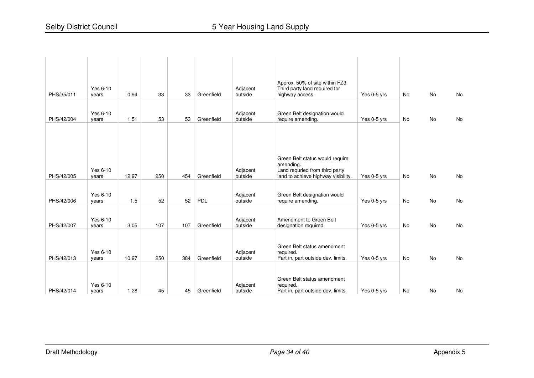| PHS/35/011 | Yes 6-10<br>years | 0.94  | 33  | 33  | Greenfield | Adjacent<br>outside | Approx. 50% of site within FZ3.<br>Third party land required for<br>highway access.                                   | Yes 0-5 yrs | <b>No</b> | <b>No</b> | No |
|------------|-------------------|-------|-----|-----|------------|---------------------|-----------------------------------------------------------------------------------------------------------------------|-------------|-----------|-----------|----|
| PHS/42/004 | Yes 6-10<br>years | 1.51  | 53  | 53  | Greenfield | Adjacent<br>outside | Green Belt designation would<br>require amending.                                                                     | Yes 0-5 yrs | No        | No        | No |
| PHS/42/005 | Yes 6-10<br>years | 12.97 | 250 | 454 | Greenfield | Adjacent<br>outside | Green Belt status would require<br>amending.<br>Land requried from third party<br>land to achieve highway visibility. | Yes 0-5 yrs | <b>No</b> | <b>No</b> | No |
| PHS/42/006 | Yes 6-10<br>years | 1.5   | 52  | 52  | PDL        | Adjacent<br>outside | Green Belt designation would<br>require amending.                                                                     | Yes 0-5 yrs | No        | No        | No |
| PHS/42/007 | Yes 6-10<br>years | 3.05  | 107 | 107 | Greenfield | Adjacent<br>outside | Amendment to Green Belt<br>designation required.                                                                      | Yes 0-5 yrs | <b>No</b> | <b>No</b> | No |
| PHS/42/013 | Yes 6-10<br>years | 10.97 | 250 | 384 | Greenfield | Adjacent<br>outside | Green Belt status amendment<br>required.<br>Part in, part outside dev. limits.                                        | Yes 0-5 yrs | No        | <b>No</b> | No |
| PHS/42/014 | Yes 6-10<br>vears | 1.28  | 45  | 45  | Greenfield | Adjacent<br>outside | Green Belt status amendment<br>required.<br>Part in, part outside dev. limits.                                        | Yes 0-5 yrs | <b>No</b> | <b>No</b> | No |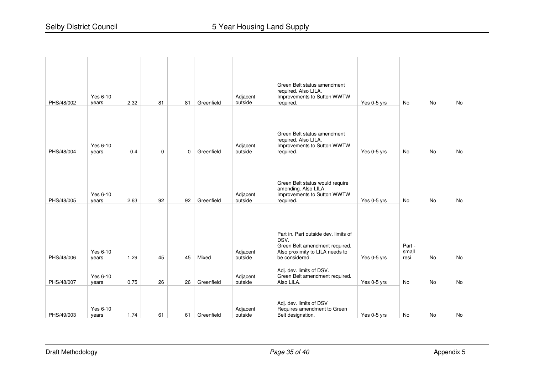| PHS/48/002               | Yes 6-10<br>years          | 2.32         | 81          | 81       | Greenfield          | Adjacent<br>outside            | Green Belt status amendment<br>required. Also LILA.<br>Improvements to Sutton WWTW<br>required.                   | Yes 0-5 yrs                | <b>No</b>       | <b>No</b>              | No       |
|--------------------------|----------------------------|--------------|-------------|----------|---------------------|--------------------------------|-------------------------------------------------------------------------------------------------------------------|----------------------------|-----------------|------------------------|----------|
| PHS/48/004               | Yes 6-10<br>years          | 0.4          | $\mathbf 0$ | 0        | Greenfield          | Adjacent<br>outside            | Green Belt status amendment<br>required. Also LILA.<br>Improvements to Sutton WWTW<br>required.                   | Yes 0-5 yrs                | No              | No.                    | No       |
| PHS/48/005               | Yes 6-10<br>years          | 2.63         | 92          | 92       | Greenfield          | Adjacent<br>outside            | Green Belt status would require<br>amending. Also LILA.<br>Improvements to Sutton WWTW<br>required.               | Yes 0-5 yrs                | No              | <b>No</b>              | No       |
|                          | Yes 6-10                   |              |             |          |                     | Adjacent                       | Part in. Part outside dev. limits of<br>DSV.<br>Green Belt amendment required.<br>Also proximity to LILA needs to |                            | Part -<br>small |                        |          |
| PHS/48/006<br>PHS/48/007 | years<br>Yes 6-10<br>years | 1.29<br>0.75 | 45<br>26    | 45<br>26 | Mixed<br>Greenfield | outside<br>Adjacent<br>outside | be considered.<br>Adj. dev. limits of DSV.<br>Green Belt amendment required.<br>Also LILA.                        | Yes 0-5 yrs<br>Yes 0-5 yrs | resi<br>No      | <b>No</b><br><b>No</b> | No<br>No |
| PHS/49/003               | Yes 6-10<br>years          | 1.74         | 61          | 61       | Greenfield          | Adjacent<br>outside            | Adj. dev. limits of DSV<br>Requires amendment to Green<br>Belt designation.                                       | Yes 0-5 yrs                | No              | <b>No</b>              | No       |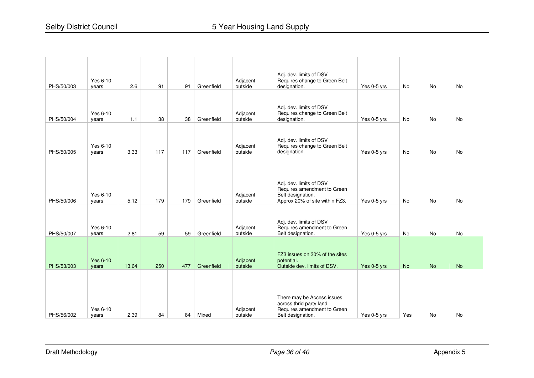| PHS/50/003 | Yes 6-10<br>years | 2.6   | 91  | 91  | Greenfield | Adjacent<br>outside | Adj. dev. limits of DSV<br>Requires change to Green Belt<br>designation.                                   | Yes 0-5 yrs | No        | No        | No        |
|------------|-------------------|-------|-----|-----|------------|---------------------|------------------------------------------------------------------------------------------------------------|-------------|-----------|-----------|-----------|
| PHS/50/004 | Yes 6-10<br>years | 1.1   | 38  | 38  | Greenfield | Adjacent<br>outside | Adj. dev. limits of DSV<br>Requires change to Green Belt<br>designation.                                   | Yes 0-5 yrs | No        | No        | No        |
| PHS/50/005 | Yes 6-10<br>years | 3.33  | 117 | 117 | Greenfield | Adjacent<br>outside | Adj. dev. limits of DSV<br>Requires change to Green Belt<br>designation.                                   | Yes 0-5 yrs | <b>No</b> | <b>No</b> | No        |
|            |                   |       |     |     |            |                     | Adj. dev. limits of DSV<br>Requires amendment to Green                                                     |             |           |           |           |
| PHS/50/006 | Yes 6-10<br>years | 5.12  | 179 | 179 | Greenfield | Adjacent<br>outside | Belt designation.<br>Approx 20% of site within FZ3.                                                        | Yes 0-5 yrs | <b>No</b> | <b>No</b> | <b>No</b> |
| PHS/50/007 | Yes 6-10<br>years | 2.81  | 59  | 59  | Greenfield | Adjacent<br>outside | Adj. dev. limits of DSV<br>Requires amendment to Green<br>Belt designation.                                | Yes 0-5 yrs | No        | <b>No</b> | No        |
|            | <b>Yes 6-10</b>   |       |     |     |            | Adjacent            | FZ3 issues on 30% of the sites<br>potential.                                                               |             |           |           |           |
| PHS/53/003 | years             | 13.64 | 250 | 477 | Greenfield | outside             | Outside dev. limits of DSV.                                                                                | Yes 0-5 yrs | <b>No</b> | <b>No</b> | <b>No</b> |
| PHS/56/002 | Yes 6-10<br>years | 2.39  | 84  | 84  | Mixed      | Adjacent<br>outside | There may be Access issues<br>across thrid party land.<br>Requires amendment to Green<br>Belt designation. | Yes 0-5 yrs | Yes       | <b>No</b> | <b>No</b> |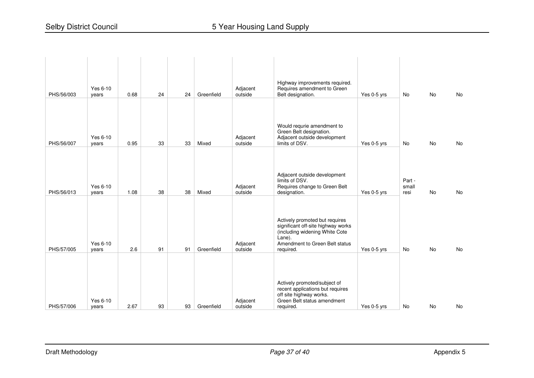| PHS/56/003 | Yes 6-10<br>years | 0.68 | 24 | 24 | Greenfield | Adjacent<br>outside | Highway improvements required.<br>Requires amendment to Green<br>Belt designation.                                                                 | Yes 0-5 yrs | <b>No</b>               | <b>No</b> | <b>No</b> |
|------------|-------------------|------|----|----|------------|---------------------|----------------------------------------------------------------------------------------------------------------------------------------------------|-------------|-------------------------|-----------|-----------|
| PHS/56/007 | Yes 6-10<br>years | 0.95 | 33 | 33 | Mixed      | Adjacent<br>outside | Would requrie amendment to<br>Green Belt designation.<br>Adjacent outside development<br>limits of DSV.                                            | Yes 0-5 yrs | No                      | No        | No        |
| PHS/56/013 | Yes 6-10<br>years | 1.08 | 38 | 38 | Mixed      | Adjacent<br>outside | Adjacent outside development<br>limits of DSV.<br>Requires change to Green Belt<br>designation.                                                    | Yes 0-5 yrs | Part -<br>small<br>resi | <b>No</b> | No        |
|            | Yes 6-10          |      |    |    |            | Adjacent            | Actively promoted but requires<br>significant off-site highway works<br>(including widening White Cote<br>Lane).<br>Amendment to Green Belt status |             |                         |           |           |
| PHS/57/005 | years             | 2.6  | 91 | 91 | Greenfield | outside             | required.                                                                                                                                          | Yes 0-5 yrs | No                      | <b>No</b> | <b>No</b> |
| PHS/57/006 | Yes 6-10<br>years | 2.67 | 93 | 93 | Greenfield | Adjacent<br>outside | Actively promoted/subject of<br>recent applications but requires<br>off site highway works.<br>Green Belt status amendment<br>required.            | Yes 0-5 yrs | No                      | No        | No        |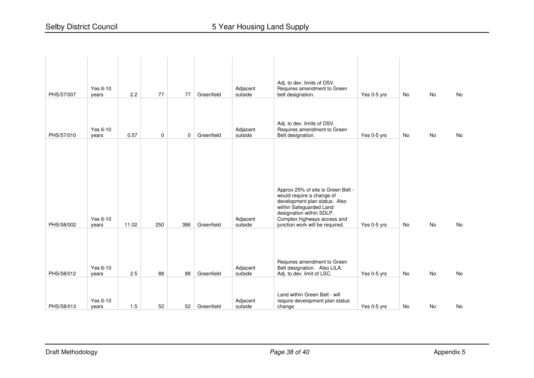| PHS/57/007 | Yes 6-10<br>years | 2.2   | 77          | 77  | Greenfield | Adjacent<br>outside | Adj. to dev. limits of DSV.<br>Requires amendment to Green<br>belt designation.                                                                                                                                           | Yes 0-5 yrs | No        | <b>No</b> | No |
|------------|-------------------|-------|-------------|-----|------------|---------------------|---------------------------------------------------------------------------------------------------------------------------------------------------------------------------------------------------------------------------|-------------|-----------|-----------|----|
| PHS/57/010 | Yes 6-10<br>years | 0.57  | $\mathbf 0$ | 0   | Greenfield | Adjacent<br>outside | Adj. to dev. limits of DSV.<br>Requires amendment to Green<br>Belt designation.                                                                                                                                           | Yes 0-5 yrs | No        | No        | No |
| PHS/58/002 | Yes 6-10<br>years | 11.02 | 250         | 386 | Greenfield | Adjacent<br>outside | Approx 25% of site is Green Belt -<br>would require a change of<br>development plan status. Also<br>within Safeguarded Land<br>designation within SDLP.<br>Complex highways access and<br>junction work will be required. | Yes 0-5 yrs | <b>No</b> | <b>No</b> | No |
| PHS/58/012 | Yes 6-10<br>years | 2.5   | 88          | 88  | Greenfield | Adjacent<br>outside | Requires amendment to Green<br>Belt designation. Also LILA.<br>Adj. to dev. limit of LSC.                                                                                                                                 | Yes 0-5 yrs | <b>No</b> | <b>No</b> | No |
| PHS/58/013 | Yes 6-10<br>years | 1.5   | 52          | 52  | Greenfield | Adjacent<br>outside | Land within Green Belt - will<br>require development plan status<br>change                                                                                                                                                | Yes 0-5 yrs | No        | No        | No |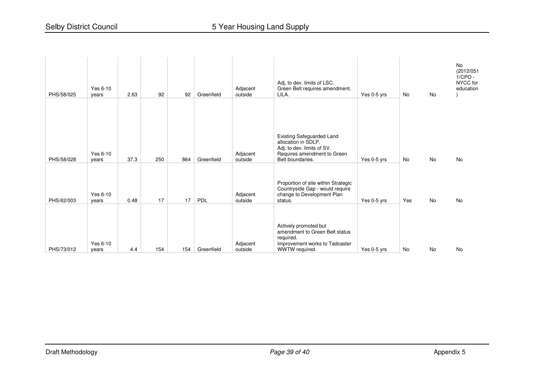| PHS/58/025 | Yes 6-10<br>years | 2.63 | 92  | 92  | Greenfield | Adjacent<br>outside | Adj, to dev. limits of LSC.<br>Green Belt requires amendment.<br>LILA.                                                                   | Yes 0-5 yrs | No        | No        | <b>No</b><br>(2012/051<br>$1/CPO -$<br>NYCC for<br>education |
|------------|-------------------|------|-----|-----|------------|---------------------|------------------------------------------------------------------------------------------------------------------------------------------|-------------|-----------|-----------|--------------------------------------------------------------|
|            |                   |      |     |     |            |                     |                                                                                                                                          |             |           |           |                                                              |
| PHS/58/028 | Yes 6-10<br>years | 37.3 | 250 | 864 | Greenfield | Adjacent<br>outside | <b>Existing Safeguarded Land</b><br>allocation in SDLP.<br>Adj. to dev. limits of SV.<br>Requires amendment to Green<br>Belt boundaries. | Yes 0-5 yrs | <b>No</b> | No        | No                                                           |
| PHS/62/003 | Yes 6-10<br>years | 0.48 | 17  | 17  | PDL        | Adjacent<br>outside | Proportion of site within Strategic<br>Countryside Gap - would require<br>change to Development Plan<br>status.                          | Yes 0-5 yrs | Yes       | <b>No</b> | <b>No</b>                                                    |
|            |                   |      |     |     |            |                     | Actively promoted but                                                                                                                    |             |           |           |                                                              |
| PHS/73/012 | Yes 6-10<br>years | 4.4  | 154 | 154 | Greenfield | Adjacent<br>outside | amendment to Green Belt status<br>required.<br>Improvement works to Tadcaster<br>WWTW required.                                          | Yes 0-5 yrs | <b>No</b> | <b>No</b> | No                                                           |